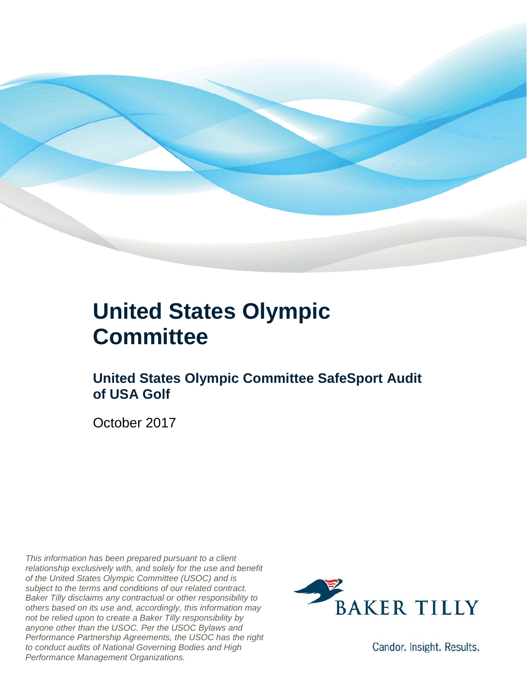

### **United States Olympic Committee**

### **United States Olympic Committee SafeSport Audit of USA Golf**

October 2017

*This information has been prepared pursuant to a client relationship exclusively with, and solely for the use and benefit of the United States Olympic Committee (USOC) and is subject to the terms and conditions of our related contract. Baker Tilly disclaims any contractual or other responsibility to others based on its use and, accordingly, this information may not be relied upon to create a Baker Tilly responsibility by anyone other than the USOC. Per the USOC Bylaws and Performance Partnership Agreements, the USOC has the right to conduct audits of National Governing Bodies and High Performance Management Organizations.*



Candor. Insight. Results.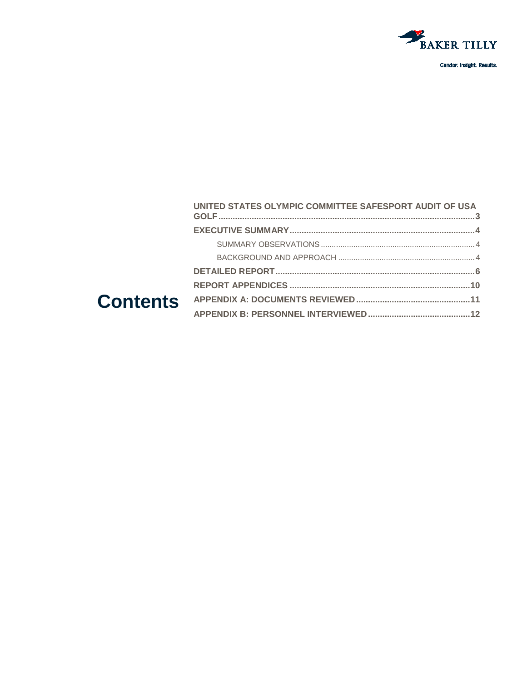

#### UNITED STATES OLYMPIC COMMITTEE SAFESPORT AUDIT OF USA **Contents**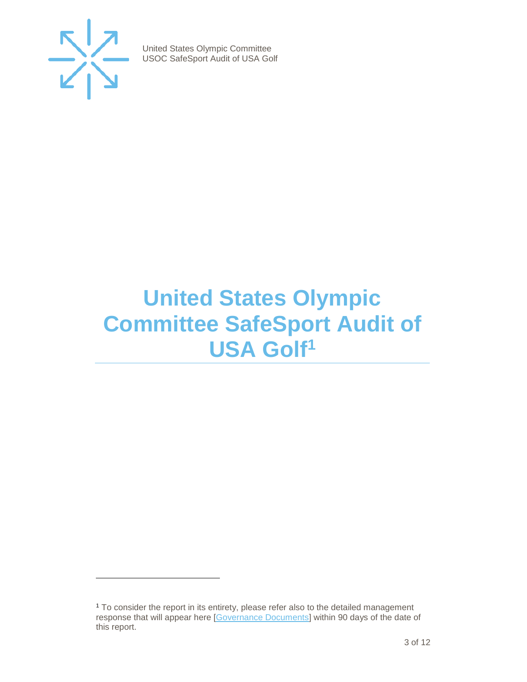

j

United States Olympic Committee USOC SafeSport Audit of USA Golf

### <span id="page-2-0"></span>**United States Olympic Committee SafeSport Audit of USA Gol[f1](#page-2-1)**

<span id="page-2-1"></span><sup>1</sup> To consider the report in its entirety, please refer also to the detailed management response that will appear here [\[Governance Documents\]](https://www.teamusa.org/Footer/Legal/Governance-Documents) within 90 days of the date of this report.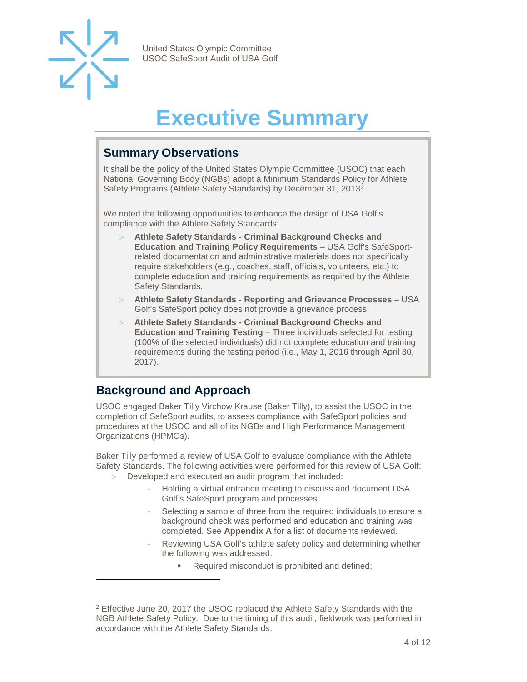

-

United States Olympic Committee USOC SafeSport Audit of USA Golf

## **Executive Summary**

#### <span id="page-3-1"></span><span id="page-3-0"></span>**Summary Observations**

It shall be the policy of the United States Olympic Committee (USOC) that each National Governing Body (NGBs) adopt a Minimum Standards Policy for Athlete Safety Programs (Athlete Safety Standards) by December 31, 2013[2](#page-3-4).

We noted the following opportunities to enhance the design of USA Golf's compliance with the Athlete Safety Standards:

- > **Athlete Safety Standards - Criminal Background Checks and Education and Training Policy Requirements** – USA Golf's SafeSportrelated documentation and administrative materials does not specifically require stakeholders (e.g., coaches, staff, officials, volunteers, etc.) to complete education and training requirements as required by the Athlete Safety Standards.
- > **Athlete Safety Standards - Reporting and Grievance Processes**  USA Golf's SafeSport policy does not provide a grievance process.
- > **Athlete Safety Standards - Criminal Background Checks and Education and Training Testing** – Three individuals selected for testing (100% of the selected individuals) did not complete education and training requirements during the testing period (i.e., May 1, 2016 through April 30, 2017).

### <span id="page-3-2"></span>**Background and Approach**

<span id="page-3-3"></span>USOC engaged Baker Tilly Virchow Krause (Baker Tilly), to assist the USOC in the completion of SafeSport audits, to assess compliance with SafeSport policies and procedures at the USOC and all of its NGBs and High Performance Management Organizations (HPMOs).

Baker Tilly performed a review of USA Golf to evaluate compliance with the Athlete Safety Standards. The following activities were performed for this review of USA Golf:

- Developed and executed an audit program that included:
	- Holding a virtual entrance meeting to discuss and document USA Golf's SafeSport program and processes.
	- Selecting a sample of three from the required individuals to ensure a background check was performed and education and training was completed. See **Appendix A** for a list of documents reviewed.
	- Reviewing USA Golf's athlete safety policy and determining whether the following was addressed:
		- **Required misconduct is prohibited and defined;**

<span id="page-3-4"></span><sup>2</sup> Effective June 20, 2017 the USOC replaced the Athlete Safety Standards with the NGB Athlete Safety Policy. Due to the timing of this audit, fieldwork was performed in accordance with the Athlete Safety Standards.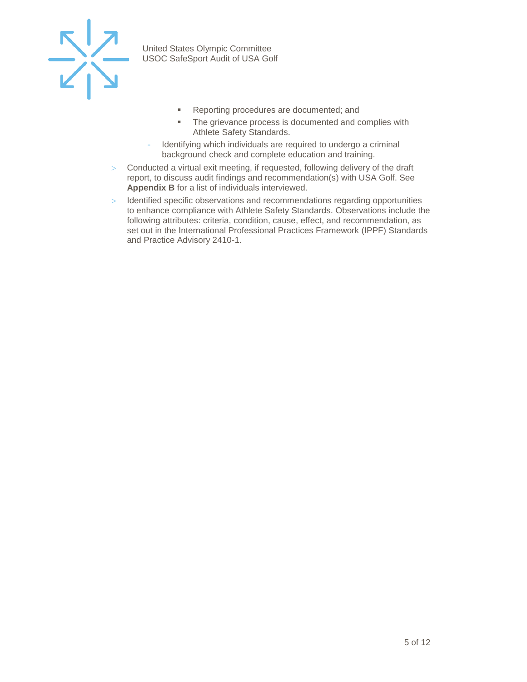

- **Reporting procedures are documented; and**
- **The grievance process is documented and complies with** Athlete Safety Standards.
- Identifying which individuals are required to undergo a criminal background check and complete education and training.
- > Conducted a virtual exit meeting, if requested, following delivery of the draft report, to discuss audit findings and recommendation(s) with USA Golf. See **Appendix B** for a list of individuals interviewed.
- > Identified specific observations and recommendations regarding opportunities to enhance compliance with Athlete Safety Standards. Observations include the following attributes: criteria, condition, cause, effect, and recommendation, as set out in the International Professional Practices Framework (IPPF) Standards and Practice Advisory 2410-1.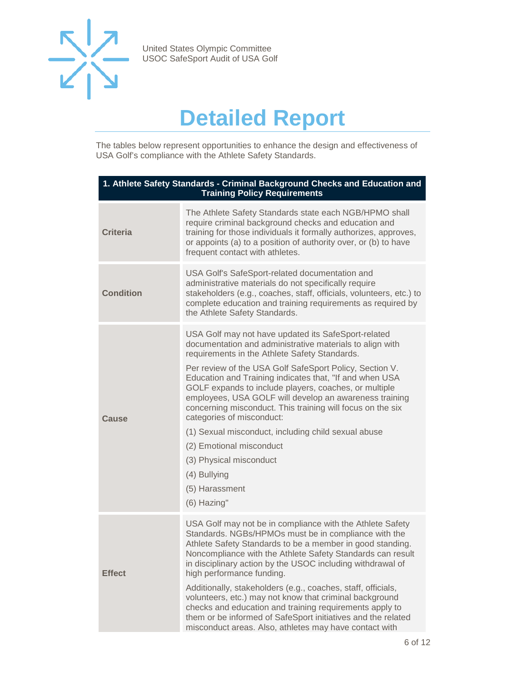

### **Detailed Report**

The tables below represent opportunities to enhance the design and effectiveness of USA Golf's compliance with the Athlete Safety Standards.

| 1. Athlete Safety Standards - Criminal Background Checks and Education and<br><b>Training Policy Requirements</b> |                                                                                                                                                                                                                                                                                                                                                                                                                                                                                                                                                                                                                                                                     |
|-------------------------------------------------------------------------------------------------------------------|---------------------------------------------------------------------------------------------------------------------------------------------------------------------------------------------------------------------------------------------------------------------------------------------------------------------------------------------------------------------------------------------------------------------------------------------------------------------------------------------------------------------------------------------------------------------------------------------------------------------------------------------------------------------|
| <b>Criteria</b>                                                                                                   | The Athlete Safety Standards state each NGB/HPMO shall<br>require criminal background checks and education and<br>training for those individuals it formally authorizes, approves,<br>or appoints (a) to a position of authority over, or (b) to have<br>frequent contact with athletes.                                                                                                                                                                                                                                                                                                                                                                            |
| <b>Condition</b>                                                                                                  | USA Golf's SafeSport-related documentation and<br>administrative materials do not specifically require<br>stakeholders (e.g., coaches, staff, officials, volunteers, etc.) to<br>complete education and training requirements as required by<br>the Athlete Safety Standards.                                                                                                                                                                                                                                                                                                                                                                                       |
| Cause                                                                                                             | USA Golf may not have updated its SafeSport-related<br>documentation and administrative materials to align with<br>requirements in the Athlete Safety Standards.<br>Per review of the USA Golf SafeSport Policy, Section V.<br>Education and Training indicates that, "If and when USA<br>GOLF expands to include players, coaches, or multiple<br>employees, USA GOLF will develop an awareness training<br>concerning misconduct. This training will focus on the six<br>categories of misconduct:<br>(1) Sexual misconduct, including child sexual abuse<br>(2) Emotional misconduct<br>(3) Physical misconduct<br>(4) Bullying<br>(5) Harassment<br>(6) Hazing" |
| <b>Effect</b>                                                                                                     | USA Golf may not be in compliance with the Athlete Safety<br>Standards. NGBs/HPMOs must be in compliance with the<br>Athlete Safety Standards to be a member in good standing.<br>Noncompliance with the Athlete Safety Standards can result<br>in disciplinary action by the USOC including withdrawal of<br>high performance funding.<br>Additionally, stakeholders (e.g., coaches, staff, officials,<br>volunteers, etc.) may not know that criminal background<br>checks and education and training requirements apply to<br>them or be informed of SafeSport initiatives and the related<br>misconduct areas. Also, athletes may have contact with             |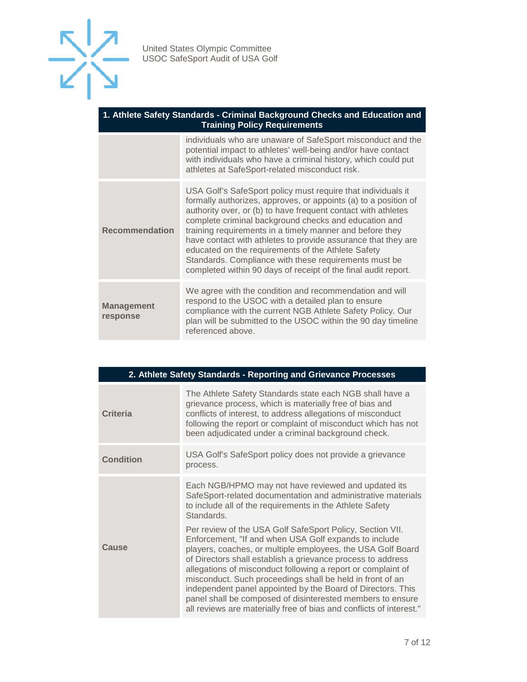

#### **1. Athlete Safety Standards - Criminal Background Checks and Education and Training Policy Requirements**

|                               | individuals who are unaware of SafeSport misconduct and the<br>potential impact to athletes' well-being and/or have contact<br>with individuals who have a criminal history, which could put<br>athletes at SafeSport-related misconduct risk.                                                                                                                                                                                                                                                                                                                          |
|-------------------------------|-------------------------------------------------------------------------------------------------------------------------------------------------------------------------------------------------------------------------------------------------------------------------------------------------------------------------------------------------------------------------------------------------------------------------------------------------------------------------------------------------------------------------------------------------------------------------|
| <b>Recommendation</b>         | USA Golf's SafeSport policy must require that individuals it<br>formally authorizes, approves, or appoints (a) to a position of<br>authority over, or (b) to have frequent contact with athletes<br>complete criminal background checks and education and<br>training requirements in a timely manner and before they<br>have contact with athletes to provide assurance that they are<br>educated on the requirements of the Athlete Safety<br>Standards. Compliance with these requirements must be<br>completed within 90 days of receipt of the final audit report. |
| <b>Management</b><br>response | We agree with the condition and recommendation and will<br>respond to the USOC with a detailed plan to ensure<br>compliance with the current NGB Athlete Safety Policy. Our<br>plan will be submitted to the USOC within the 90 day timeline<br>referenced above.                                                                                                                                                                                                                                                                                                       |

| 2. Athlete Safety Standards - Reporting and Grievance Processes |                                                                                                                                                                                                                                                                                                                                                                                                                                                                                                                                                                                   |  |
|-----------------------------------------------------------------|-----------------------------------------------------------------------------------------------------------------------------------------------------------------------------------------------------------------------------------------------------------------------------------------------------------------------------------------------------------------------------------------------------------------------------------------------------------------------------------------------------------------------------------------------------------------------------------|--|
| Criteria                                                        | The Athlete Safety Standards state each NGB shall have a<br>grievance process, which is materially free of bias and<br>conflicts of interest, to address allegations of misconduct<br>following the report or complaint of misconduct which has not<br>been adjudicated under a criminal background check.                                                                                                                                                                                                                                                                        |  |
| <b>Condition</b>                                                | USA Golf's SafeSport policy does not provide a grievance<br>process.                                                                                                                                                                                                                                                                                                                                                                                                                                                                                                              |  |
| Cause                                                           | Each NGB/HPMO may not have reviewed and updated its<br>SafeSport-related documentation and administrative materials<br>to include all of the requirements in the Athlete Safety<br>Standards.                                                                                                                                                                                                                                                                                                                                                                                     |  |
|                                                                 | Per review of the USA Golf SafeSport Policy, Section VII.<br>Enforcement, "If and when USA Golf expands to include<br>players, coaches, or multiple employees, the USA Golf Board<br>of Directors shall establish a grievance process to address<br>allegations of misconduct following a report or complaint of<br>misconduct. Such proceedings shall be held in front of an<br>independent panel appointed by the Board of Directors. This<br>panel shall be composed of disinterested members to ensure<br>all reviews are materially free of bias and conflicts of interest." |  |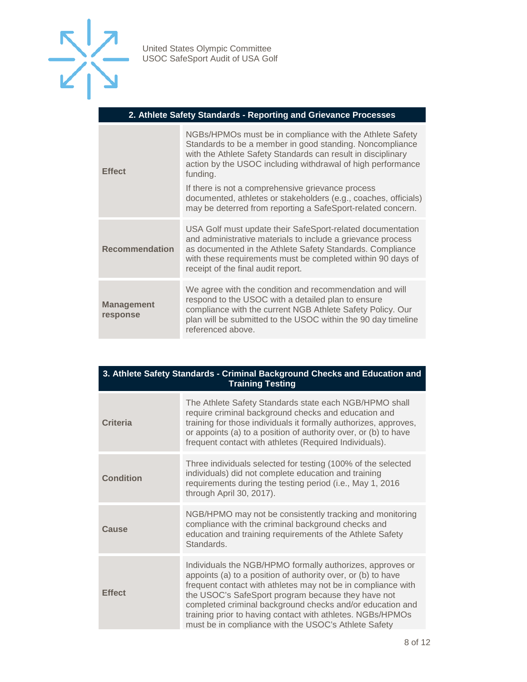

#### **2. Athlete Safety Standards - Reporting and Grievance Processes**

| <b>Effect</b>                 | NGBs/HPMOs must be in compliance with the Athlete Safety<br>Standards to be a member in good standing. Noncompliance<br>with the Athlete Safety Standards can result in disciplinary<br>action by the USOC including withdrawal of high performance<br>funding.<br>If there is not a comprehensive grievance process<br>documented, athletes or stakeholders (e.g., coaches, officials)<br>may be deterred from reporting a SafeSport-related concern. |
|-------------------------------|--------------------------------------------------------------------------------------------------------------------------------------------------------------------------------------------------------------------------------------------------------------------------------------------------------------------------------------------------------------------------------------------------------------------------------------------------------|
| <b>Recommendation</b>         | USA Golf must update their SafeSport-related documentation<br>and administrative materials to include a grievance process<br>as documented in the Athlete Safety Standards. Compliance<br>with these requirements must be completed within 90 days of<br>receipt of the final audit report.                                                                                                                                                            |
| <b>Management</b><br>response | We agree with the condition and recommendation and will<br>respond to the USOC with a detailed plan to ensure<br>compliance with the current NGB Athlete Safety Policy. Our<br>plan will be submitted to the USOC within the 90 day timeline<br>referenced above.                                                                                                                                                                                      |

| 3. Athlete Safety Standards - Criminal Background Checks and Education and |
|----------------------------------------------------------------------------|
| <b>Training Testing</b>                                                    |

| Criteria         | The Athlete Safety Standards state each NGB/HPMO shall<br>require criminal background checks and education and<br>training for those individuals it formally authorizes, approves,<br>or appoints (a) to a position of authority over, or (b) to have<br>frequent contact with athletes (Required Individuals).                                                                                                                    |
|------------------|------------------------------------------------------------------------------------------------------------------------------------------------------------------------------------------------------------------------------------------------------------------------------------------------------------------------------------------------------------------------------------------------------------------------------------|
| <b>Condition</b> | Three individuals selected for testing (100% of the selected<br>individuals) did not complete education and training<br>requirements during the testing period (i.e., May 1, 2016<br>through April 30, 2017).                                                                                                                                                                                                                      |
| Cause            | NGB/HPMO may not be consistently tracking and monitoring<br>compliance with the criminal background checks and<br>education and training requirements of the Athlete Safety<br>Standards.                                                                                                                                                                                                                                          |
| <b>Effect</b>    | Individuals the NGB/HPMO formally authorizes, approves or<br>appoints (a) to a position of authority over, or (b) to have<br>frequent contact with athletes may not be in compliance with<br>the USOC's SafeSport program because they have not<br>completed criminal background checks and/or education and<br>training prior to having contact with athletes. NGBs/HPMOs<br>must be in compliance with the USOC's Athlete Safety |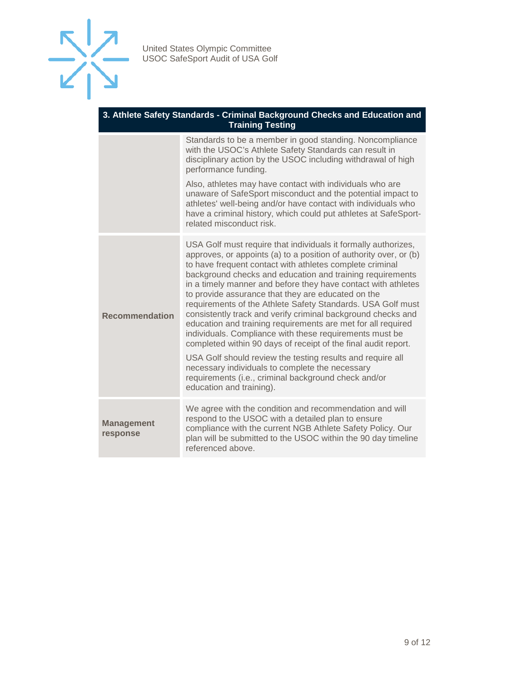

#### **3. Athlete Safety Standards - Criminal Background Checks and Education and Training Testing**

|                               | Standards to be a member in good standing. Noncompliance<br>with the USOC's Athlete Safety Standards can result in<br>disciplinary action by the USOC including withdrawal of high<br>performance funding.                                                                                                                                                                                                                                                                                                                                                                                                                                                                                                                                                                                                                                                                                                           |
|-------------------------------|----------------------------------------------------------------------------------------------------------------------------------------------------------------------------------------------------------------------------------------------------------------------------------------------------------------------------------------------------------------------------------------------------------------------------------------------------------------------------------------------------------------------------------------------------------------------------------------------------------------------------------------------------------------------------------------------------------------------------------------------------------------------------------------------------------------------------------------------------------------------------------------------------------------------|
|                               | Also, athletes may have contact with individuals who are<br>unaware of SafeSport misconduct and the potential impact to<br>athletes' well-being and/or have contact with individuals who<br>have a criminal history, which could put athletes at SafeSport-<br>related misconduct risk.                                                                                                                                                                                                                                                                                                                                                                                                                                                                                                                                                                                                                              |
| <b>Recommendation</b>         | USA Golf must require that individuals it formally authorizes,<br>approves, or appoints (a) to a position of authority over, or (b)<br>to have frequent contact with athletes complete criminal<br>background checks and education and training requirements<br>in a timely manner and before they have contact with athletes<br>to provide assurance that they are educated on the<br>requirements of the Athlete Safety Standards. USA Golf must<br>consistently track and verify criminal background checks and<br>education and training requirements are met for all required<br>individuals. Compliance with these requirements must be<br>completed within 90 days of receipt of the final audit report.<br>USA Golf should review the testing results and require all<br>necessary individuals to complete the necessary<br>requirements (i.e., criminal background check and/or<br>education and training). |
| <b>Management</b><br>response | We agree with the condition and recommendation and will<br>respond to the USOC with a detailed plan to ensure<br>compliance with the current NGB Athlete Safety Policy. Our<br>plan will be submitted to the USOC within the 90 day timeline<br>referenced above.                                                                                                                                                                                                                                                                                                                                                                                                                                                                                                                                                                                                                                                    |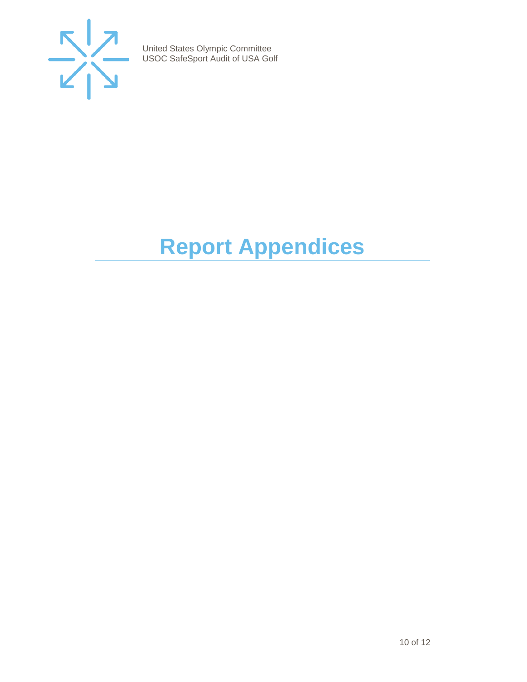

# <span id="page-9-0"></span>**Report Appendices**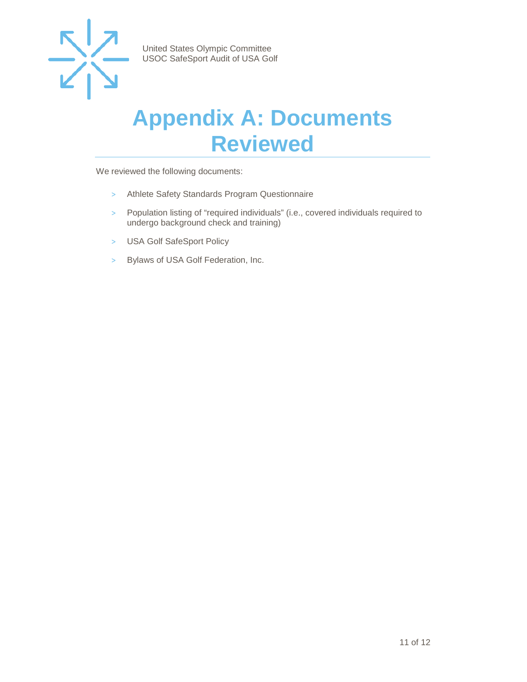

### <span id="page-10-0"></span>**Appendix A: Documents Reviewed**

We reviewed the following documents:

- > Athlete Safety Standards Program Questionnaire
- > Population listing of "required individuals" (i.e., covered individuals required to undergo background check and training)
- > USA Golf SafeSport Policy
- > Bylaws of USA Golf Federation, Inc.